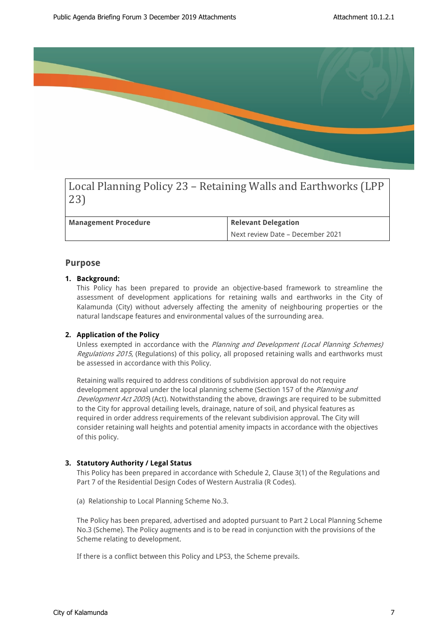

Local Planning Policy 23 – Retaining Walls and Earthworks (LPP 23)

**Management Procedure Relevant Delegation** 

Next review Date – December 2021

# **Purpose**

### **1. Background:**

This Policy has been prepared to provide an objective-based framework to streamline the assessment of development applications for retaining walls and earthworks in the City of Kalamunda (City) without adversely affecting the amenity of neighbouring properties or the natural landscape features and environmental values of the surrounding area.

### **2. Application of the Policy**

Unless exempted in accordance with the *Planning and Development (Local Planning Schemes) Regulations 2015*, (Regulations) of this policy, all proposed retaining walls and earthworks must be assessed in accordance with this Policy.

Retaining walls required to address conditions of subdivision approval do not require development approval under the local planning scheme (Section 157 of the *Planning and Development Act 2005*) (Act). Notwithstanding the above, drawings are required to be submitted to the City for approval detailing levels, drainage, nature of soil, and physical features as required in order address requirements of the relevant subdivision approval. The City will consider retaining wall heights and potential amenity impacts in accordance with the objectives of this policy.

### **3. Statutory Authority / Legal Status**

This Policy has been prepared in accordance with Schedule 2, Clause 3(1) of the Regulations and Part 7 of the Residential Design Codes of Western Australia (R Codes).

(a) Relationship to Local Planning Scheme No.3.

The Policy has been prepared, advertised and adopted pursuant to Part 2 Local Planning Scheme No.3 (Scheme). The Policy augments and is to be read in conjunction with the provisions of the Scheme relating to development.

If there is a conflict between this Policy and LPS3, the Scheme prevails.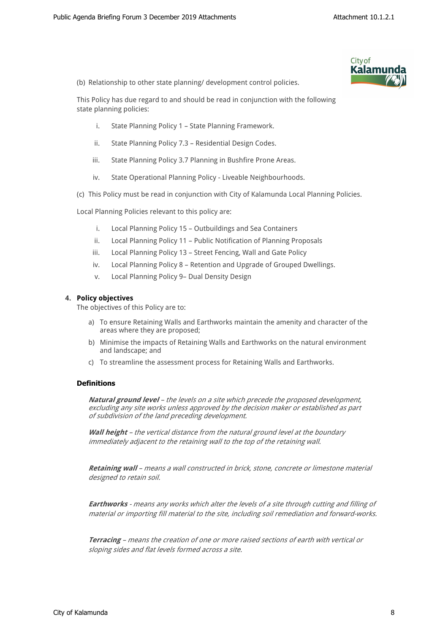

(b) Relationship to other state planning/ development control policies.

This Policy has due regard to and should be read in conjunction with the following state planning policies:

- i. State Planning Policy 1 State Planning Framework.
- ii. State Planning Policy 7.3 Residential Design Codes.
- iii. State Planning Policy 3.7 Planning in Bushfire Prone Areas.
- iv. State Operational Planning Policy Liveable Neighbourhoods.
- (c) This Policy must be read in conjunction with City of Kalamunda Local Planning Policies.

Local Planning Policies relevant to this policy are:

- i. Local Planning Policy 15 Outbuildings and Sea Containers
- ii. Local Planning Policy 11 Public Notification of Planning Proposals
- iii. Local Planning Policy 13 Street Fencing, Wall and Gate Policy
- iv. Local Planning Policy 8 Retention and Upgrade of Grouped Dwellings.
- v. Local Planning Policy 9– Dual Density Design

### **4. Policy objectives**

The objectives of this Policy are to:

- a) To ensure Retaining Walls and Earthworks maintain the amenity and character of the areas where they are proposed;
- b) Minimise the impacts of Retaining Walls and Earthworks on the natural environment and landscape; and
- c) To streamline the assessment process for Retaining Walls and Earthworks.

### **Definitions**

*Natural ground level – the levels on a site which precede the proposed development, excluding any site works unless approved by the decision maker or established as part of subdivision of the land preceding development.*

*Wall height – the vertical distance from the natural ground level at the boundary immediately adjacent to the retaining wall to the top of the retaining wall.* 

*Retaining wall – means a wall constructed in brick, stone, concrete or limestone material designed to retain soil.*

*Earthworks - means any works which alter the levels of a site through cutting and filling of material or importing fill material to the site, including soil remediation and forward-works.*

*Terracing – means the creation of one or more raised sections of earth with vertical or sloping sides and flat levels formed across a site.*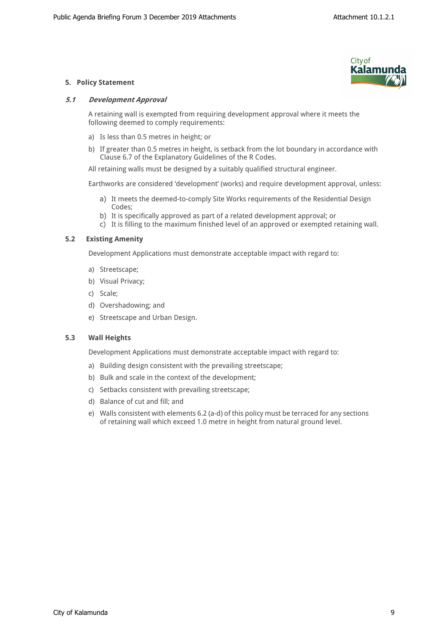

## **5. Policy Statement**

### *5.1 Development Approval*

A retaining wall is exempted from requiring development approval where it meets the following deemed to comply requirements:

- a) Is less than 0.5 metres in height; or
- b) If greater than 0.5 metres in height, is setback from the lot boundary in accordance with Clause 6.7 of the Explanatory Guidelines of the R Codes.

All retaining walls must be designed by a suitably qualified structural engineer.

Earthworks are considered 'development' (works) and require development approval, unless:

- a) It meets the deemed-to-comply Site Works requirements of the Residential Design Codes;
- b) It is specifically approved as part of a related development approval; or
- c) It is filling to the maximum finished level of an approved or exempted retaining wall.

### **5.2 Existing Amenity**

Development Applications must demonstrate acceptable impact with regard to:

- a) Streetscape;
- b) Visual Privacy;
- c) Scale;
- d) Overshadowing; and
- e) Streetscape and Urban Design.

### **5.3 Wall Heights**

Development Applications must demonstrate acceptable impact with regard to:

- a) Building design consistent with the prevailing streetscape;
- b) Bulk and scale in the context of the development;
- c) Setbacks consistent with prevailing streetscape;
- d) Balance of cut and fill; and
- e) Walls consistent with elements 6.2 (a-d) of this policy must be terraced for any sections of retaining wall which exceed 1.0 metre in height from natural ground level.